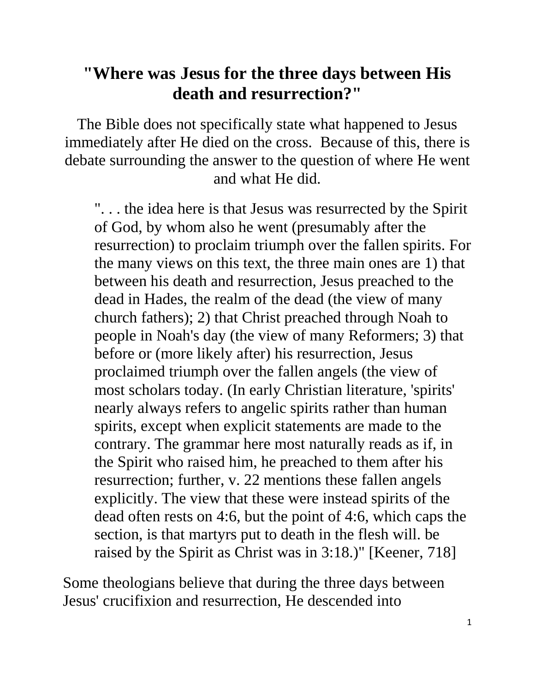## **"Where was Jesus for the three days between His death and resurrection?"**

The Bible does not specifically state what happened to Jesus immediately after He died on the cross. Because of this, there is debate surrounding the answer to the question of where He went and what He did.

". . . the idea here is that Jesus was resurrected by the Spirit of God, by whom also he went (presumably after the resurrection) to proclaim triumph over the fallen spirits. For the many views on this text, the three main ones are 1) that between his death and resurrection, Jesus preached to the dead in Hades, the realm of the dead (the view of many church fathers); 2) that Christ preached through Noah to people in Noah's day (the view of many Reformers; 3) that before or (more likely after) his resurrection, Jesus proclaimed triumph over the fallen angels (the view of most scholars today. (In early Christian literature, 'spirits' nearly always refers to angelic spirits rather than human spirits, except when explicit statements are made to the contrary. The grammar here most naturally reads as if, in the Spirit who raised him, he preached to them after his resurrection; further, v. 22 mentions these fallen angels explicitly. The view that these were instead spirits of the dead often rests on 4:6, but the point of 4:6, which caps the section, is that martyrs put to death in the flesh will. be raised by the Spirit as Christ was in 3:18.)" [Keener, 718]

Some theologians believe that during the three days between Jesus' crucifixion and resurrection, He descended into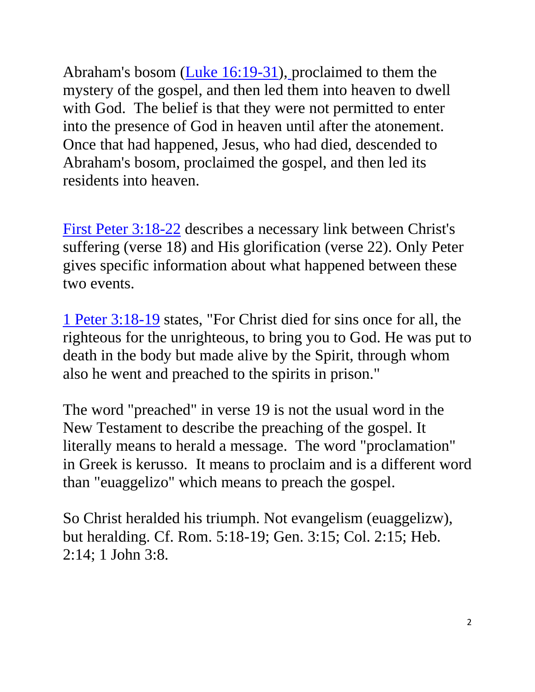Abraham's bosom (Luke 16:19-31), proclaimed to them the mystery of the gospel, and then led them into heaven to dwell with God. The belief is that they were not permitted to enter into the presence of God in heaven until after the atonement. Once that had happened, Jesus, who had died, descended to Abraham's bosom, proclaimed the gospel, and then led its residents into heaven.

First Peter 3:18-22 describes a necessary link between Christ's suffering (verse 18) and His glorification (verse 22). Only Peter gives specific information about what happened between these two events.

1 Peter 3:18-19 states, "For Christ died for sins once for all, the righteous for the unrighteous, to bring you to God. He was put to death in the body but made alive by the Spirit, through whom also he went and preached to the spirits in prison."

The word "preached" in verse 19 is not the usual word in the New Testament to describe the preaching of the gospel. It literally means to herald a message. The word "proclamation" in Greek is kerusso. It means to proclaim and is a different word than "euaggelizo" which means to preach the gospel.

So Christ heralded his triumph. Not evangelism (euaggelizw), but heralding. Cf. Rom. 5:18-19; Gen. 3:15; Col. 2:15; Heb. 2:14; 1 John 3:8.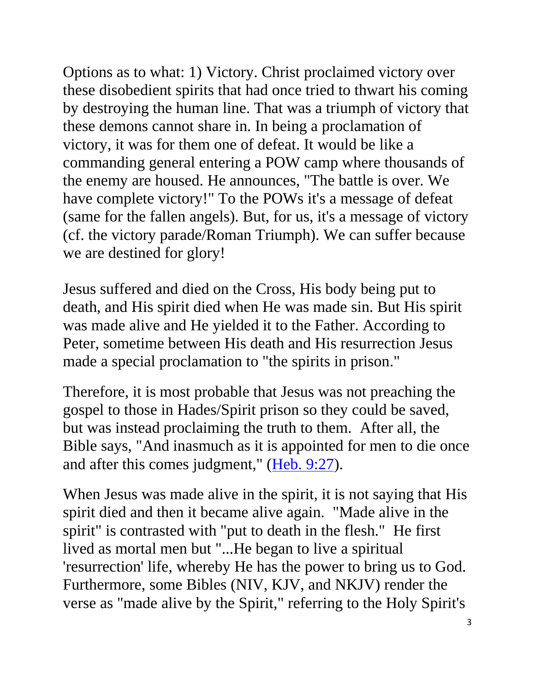Options as to what: 1) Victory. Christ proclaimed victory over these disobedient spirits that had once tried to thwart his coming by destroying the human line. That was a triumph of victory that these demons cannot share in. In being a proclamation of victory, it was for them one of defeat. It would be like a commanding general entering a POW camp where thousands of the enemy are housed. He announces, "The battle is over. We have complete victory!" To the POWs it's a message of defeat (same for the fallen angels). But, for us, it's a message of victory (cf. the victory parade/Roman Triumph). We can suffer because we are destined for glory!

Jesus suffered and died on the Cross, His body being put to death, and His spirit died when He was made sin. But His spirit was made alive and He yielded it to the Father. According to Peter, sometime between His death and His resurrection Jesus made a special proclamation to "the spirits in prison."

Therefore, it is most probable that Jesus was not preaching the gospel to those in Hades/Spirit prison so they could be saved, but was instead proclaiming the truth to them. After all, the Bible says, "And inasmuch as it is appointed for men to die once and after this comes judgment," (Heb. 9:27).

When Jesus was made alive in the spirit, it is not saying that His spirit died and then it became alive again. "Made alive in the spirit" is contrasted with "put to death in the flesh." He first lived as mortal men but "...He began to live a spiritual 'resurrection' life, whereby He has the power to bring us to God. Furthermore, some Bibles (NIV, KJV, and NKJV) render the verse as "made alive by the Spirit," referring to the Holy Spirit's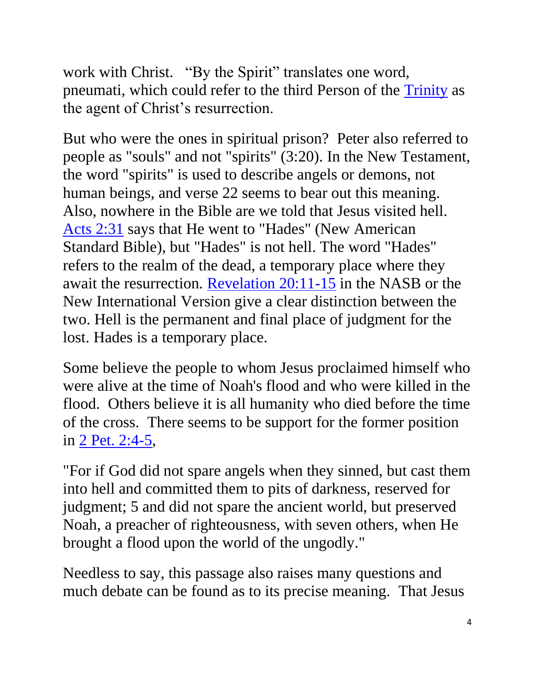work with Christ. "By the Spirit" translates one word, pneumati, which could refer to the third Person of the Trinity as the agent of Christ's resurrection.

But who were the ones in spiritual prison? Peter also referred to people as "souls" and not "spirits" (3:20). In the New Testament, the word "spirits" is used to describe angels or demons, not human beings, and verse 22 seems to bear out this meaning. Also, nowhere in the Bible are we told that Jesus visited hell. Acts 2:31 says that He went to "Hades" (New American Standard Bible), but "Hades" is not hell. The word "Hades" refers to the realm of the dead, a temporary place where they await the resurrection. Revelation 20:11-15 in the NASB or the New International Version give a clear distinction between the two. Hell is the permanent and final place of judgment for the lost. Hades is a temporary place.

Some believe the people to whom Jesus proclaimed himself who were alive at the time of Noah's flood and who were killed in the flood. Others believe it is all humanity who died before the time of the cross. There seems to be support for the former position in 2 Pet. 2:4-5,

"For if God did not spare angels when they sinned, but cast them into hell and committed them to pits of darkness, reserved for judgment; 5 and did not spare the ancient world, but preserved Noah, a preacher of righteousness, with seven others, when He brought a flood upon the world of the ungodly."

Needless to say, this passage also raises many questions and much debate can be found as to its precise meaning. That Jesus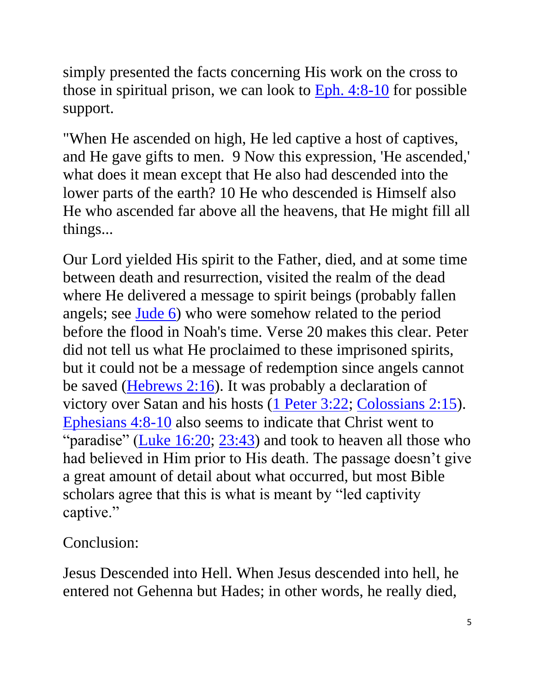simply presented the facts concerning His work on the cross to those in spiritual prison, we can look to Eph. 4:8-10 for possible support.

"When He ascended on high, He led captive a host of captives, and He gave gifts to men. 9 Now this expression, 'He ascended,' what does it mean except that He also had descended into the lower parts of the earth? 10 He who descended is Himself also He who ascended far above all the heavens, that He might fill all things...

Our Lord yielded His spirit to the Father, died, and at some time between death and resurrection, visited the realm of the dead where He delivered a message to spirit beings (probably fallen angels; see <u>Jude 6</u>) who were somehow related to the period before the flood in Noah's time. Verse 20 makes this clear. Peter did not tell us what He proclaimed to these imprisoned spirits, but it could not be a message of redemption since angels cannot be saved (Hebrews 2:16). It was probably a declaration of victory over Satan and his hosts (1 Peter 3:22; Colossians 2:15). Ephesians 4:8-10 also seems to indicate that Christ went to "paradise" (Luke  $16:20$ ;  $23:43$ ) and took to heaven all those who had believed in Him prior to His death. The passage doesn't give a great amount of detail about what occurred, but most Bible scholars agree that this is what is meant by "led captivity captive."

Conclusion:

Jesus Descended into Hell. When Jesus descended into hell, he entered not Gehenna but Hades; in other words, he really died,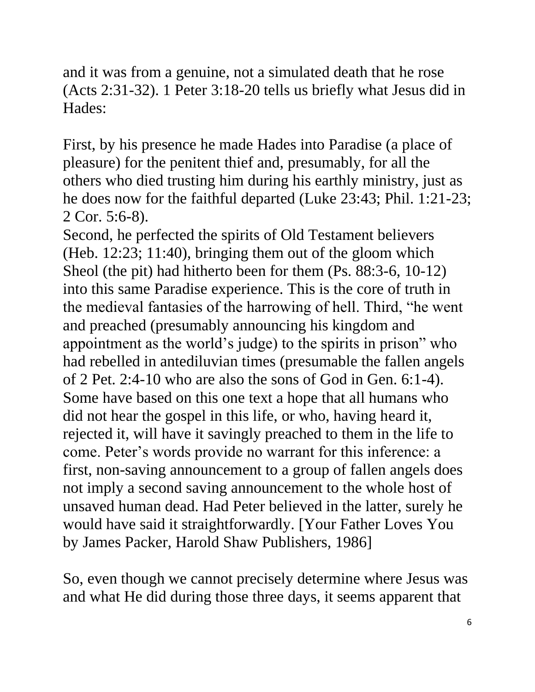and it was from a genuine, not a simulated death that he rose (Acts 2:31-32). 1 Peter 3:18-20 tells us briefly what Jesus did in Hades:

First, by his presence he made Hades into Paradise (a place of pleasure) for the penitent thief and, presumably, for all the others who died trusting him during his earthly ministry, just as he does now for the faithful departed (Luke 23:43; Phil. 1:21-23; 2 Cor. 5:6-8).

Second, he perfected the spirits of Old Testament believers (Heb. 12:23; 11:40), bringing them out of the gloom which Sheol (the pit) had hitherto been for them (Ps. 88:3-6, 10-12) into this same Paradise experience. This is the core of truth in the medieval fantasies of the harrowing of hell. Third, "he went and preached (presumably announcing his kingdom and appointment as the world's judge) to the spirits in prison" who had rebelled in antediluvian times (presumable the fallen angels of 2 Pet. 2:4-10 who are also the sons of God in Gen. 6:1-4). Some have based on this one text a hope that all humans who did not hear the gospel in this life, or who, having heard it, rejected it, will have it savingly preached to them in the life to come. Peter's words provide no warrant for this inference: a first, non-saving announcement to a group of fallen angels does not imply a second saving announcement to the whole host of unsaved human dead. Had Peter believed in the latter, surely he would have said it straightforwardly. [Your Father Loves You by James Packer, Harold Shaw Publishers, 1986]

So, even though we cannot precisely determine where Jesus was and what He did during those three days, it seems apparent that